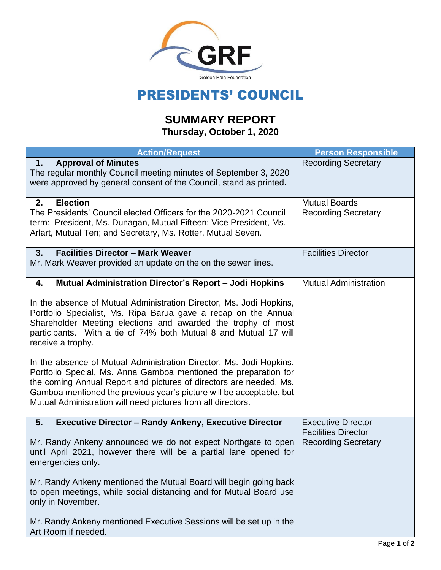

## PRESIDENTS' COUNCIL

## **SUMMARY REPORT Thursday, October 1, 2020**

| <b>Action/Request</b>                                                                                                                                                                                                                                                                                                                                 | <b>Person Responsible</b>                                |
|-------------------------------------------------------------------------------------------------------------------------------------------------------------------------------------------------------------------------------------------------------------------------------------------------------------------------------------------------------|----------------------------------------------------------|
| <b>Approval of Minutes</b><br>1.<br>The regular monthly Council meeting minutes of September 3, 2020<br>were approved by general consent of the Council, stand as printed.                                                                                                                                                                            | <b>Recording Secretary</b>                               |
| <b>Election</b><br>2.<br>The Presidents' Council elected Officers for the 2020-2021 Council<br>term: President, Ms. Dunagan, Mutual Fifteen; Vice President, Ms.<br>Arlart, Mutual Ten; and Secretary, Ms. Rotter, Mutual Seven.                                                                                                                      | <b>Mutual Boards</b><br><b>Recording Secretary</b>       |
| 3.<br><b>Facilities Director - Mark Weaver</b><br>Mr. Mark Weaver provided an update on the on the sewer lines.                                                                                                                                                                                                                                       | <b>Facilities Director</b>                               |
| Mutual Administration Director's Report - Jodi Hopkins<br>4.                                                                                                                                                                                                                                                                                          | <b>Mutual Administration</b>                             |
| In the absence of Mutual Administration Director, Ms. Jodi Hopkins,<br>Portfolio Specialist, Ms. Ripa Barua gave a recap on the Annual<br>Shareholder Meeting elections and awarded the trophy of most<br>participants. With a tie of 74% both Mutual 8 and Mutual 17 will<br>receive a trophy.                                                       |                                                          |
| In the absence of Mutual Administration Director, Ms. Jodi Hopkins,<br>Portfolio Special, Ms. Anna Gamboa mentioned the preparation for<br>the coming Annual Report and pictures of directors are needed. Ms.<br>Gamboa mentioned the previous year's picture will be acceptable, but<br>Mutual Administration will need pictures from all directors. |                                                          |
| 5.<br><b>Executive Director - Randy Ankeny, Executive Director</b>                                                                                                                                                                                                                                                                                    | <b>Executive Director</b>                                |
| Mr. Randy Ankeny announced we do not expect Northgate to open<br>until April 2021, however there will be a partial lane opened for<br>emergencies only.                                                                                                                                                                                               | <b>Facilities Director</b><br><b>Recording Secretary</b> |
| Mr. Randy Ankeny mentioned the Mutual Board will begin going back<br>to open meetings, while social distancing and for Mutual Board use<br>only in November.                                                                                                                                                                                          |                                                          |
| Mr. Randy Ankeny mentioned Executive Sessions will be set up in the<br>Art Room if needed.                                                                                                                                                                                                                                                            |                                                          |